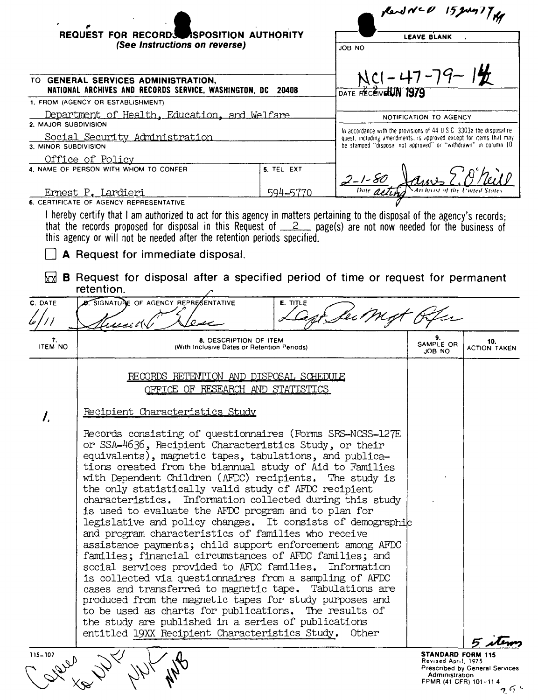|                      | REQUEST FOR RECORDS ASPOSITION AUTHORITY<br>(See Instructions on reverse)                                                                                                                                                                                                                                                                                                                                                                                                                                                                                                                                                                                                                                                                                                                                                                                                                                                                                                                                                                                                                                                                             |                 |                                                        | <b>LEAVE BLANK</b>                       |                                       |  |  |
|----------------------|-------------------------------------------------------------------------------------------------------------------------------------------------------------------------------------------------------------------------------------------------------------------------------------------------------------------------------------------------------------------------------------------------------------------------------------------------------------------------------------------------------------------------------------------------------------------------------------------------------------------------------------------------------------------------------------------------------------------------------------------------------------------------------------------------------------------------------------------------------------------------------------------------------------------------------------------------------------------------------------------------------------------------------------------------------------------------------------------------------------------------------------------------------|-----------------|--------------------------------------------------------|------------------------------------------|---------------------------------------|--|--|
|                      | TO GENERAL SERVICES ADMINISTRATION,<br>NATIONAL ARCHIVES AND RECORDS SERVICE, WASHINGTON, DC 20408                                                                                                                                                                                                                                                                                                                                                                                                                                                                                                                                                                                                                                                                                                                                                                                                                                                                                                                                                                                                                                                    |                 | JOB NO<br>$NCl - 47 - 79 - 12$<br>DATE RECEIVERIN 1970 |                                          |                                       |  |  |
|                      | 1. FROM (AGENCY OR ESTABLISHMENT)                                                                                                                                                                                                                                                                                                                                                                                                                                                                                                                                                                                                                                                                                                                                                                                                                                                                                                                                                                                                                                                                                                                     |                 |                                                        |                                          |                                       |  |  |
|                      | Department of Health, Education, and Welfare<br>2. MAJOR SUBDIVISION                                                                                                                                                                                                                                                                                                                                                                                                                                                                                                                                                                                                                                                                                                                                                                                                                                                                                                                                                                                                                                                                                  |                 |                                                        |                                          | NOTIFICATION TO AGENCY                |  |  |
|                      | In accordance with the provisions of $44 \text{ U}$ S C $-3303$ at the disposal re-<br>Social Security Administration<br>quest, including amendments, is approved except for items that may<br>be stamped "disposal not approved" or "withdrawn" in column 10<br>3. MINOR SUBDIVISION<br>Office of Policy                                                                                                                                                                                                                                                                                                                                                                                                                                                                                                                                                                                                                                                                                                                                                                                                                                             |                 |                                                        |                                          |                                       |  |  |
|                      | 4. NAME OF PERSON WITH WHOM TO CONFER                                                                                                                                                                                                                                                                                                                                                                                                                                                                                                                                                                                                                                                                                                                                                                                                                                                                                                                                                                                                                                                                                                                 | 5. TEL EXT      | $2 - 1 - 80$                                           |                                          |                                       |  |  |
|                      | <u>Ernest P. Lardieri</u><br>6. CERTIFICATE OF AGENCY REPRESENTATIVE                                                                                                                                                                                                                                                                                                                                                                                                                                                                                                                                                                                                                                                                                                                                                                                                                                                                                                                                                                                                                                                                                  | <u>594–5770</u> |                                                        |                                          |                                       |  |  |
|                      | I hereby certify that I am authorized to act for this agency in matters pertaining to the disposal of the agency's records:<br>that the records proposed for disposal in this Request of $\_\_2$ page(s) are not now needed for the business of<br>this agency or will not be needed after the retention periods specified.<br>A Request for immediate disposal.<br><b>B</b> Request for disposal after a specified period of time or request for permanent                                                                                                                                                                                                                                                                                                                                                                                                                                                                                                                                                                                                                                                                                           |                 |                                                        |                                          |                                       |  |  |
|                      | retention.                                                                                                                                                                                                                                                                                                                                                                                                                                                                                                                                                                                                                                                                                                                                                                                                                                                                                                                                                                                                                                                                                                                                            |                 |                                                        |                                          |                                       |  |  |
| C. DATE              | <b>B. SIGNATURE OF AGENCY REPRESENTATIVE</b>                                                                                                                                                                                                                                                                                                                                                                                                                                                                                                                                                                                                                                                                                                                                                                                                                                                                                                                                                                                                                                                                                                          | <b>E. TITLE</b> |                                                        |                                          |                                       |  |  |
|                      | و پوچ و د (۱                                                                                                                                                                                                                                                                                                                                                                                                                                                                                                                                                                                                                                                                                                                                                                                                                                                                                                                                                                                                                                                                                                                                          |                 |                                                        |                                          |                                       |  |  |
| 7.<br><b>ITEM NO</b> | 8. DESCRIPTION OF ITEM<br>(With Inclusive Dates or Retention Periods)                                                                                                                                                                                                                                                                                                                                                                                                                                                                                                                                                                                                                                                                                                                                                                                                                                                                                                                                                                                                                                                                                 |                 |                                                        | SAMPLE OR<br>JOB NO                      | 10.<br>ACTION TAKEN                   |  |  |
|                      | RECORDS RETENTION AND DISPOSAL SCHEDULE<br>OFFICE OF RESEARCH AND STATISTICS                                                                                                                                                                                                                                                                                                                                                                                                                                                                                                                                                                                                                                                                                                                                                                                                                                                                                                                                                                                                                                                                          |                 |                                                        |                                          |                                       |  |  |
| $\mathcal{L}$        | Recipient Characteristics Study                                                                                                                                                                                                                                                                                                                                                                                                                                                                                                                                                                                                                                                                                                                                                                                                                                                                                                                                                                                                                                                                                                                       |                 |                                                        |                                          |                                       |  |  |
|                      | Records consisting of questionnaires (Forms SRS-NCSS-127E)<br>or SSA-4636, Recipient Characteristics Study, or their<br>equivalents), magnetic tapes, tabulations, and publica-<br>tions created from the biannual study of Aid to Families<br>with Dependent Children (AFDC) recipients. The study is<br>the only statistically valid study of AFDC recipient<br>characteristics. Information collected during this study<br>is used to evaluate the AFDC program and to plan for<br>legislative and policy changes. It consists of demographic<br>and program characteristics of families who receive<br>assistance payments; child support enforcement among AFDC<br>families; financial circumstances of AFDC families; and<br>social services provided to AFDC families. Information<br>is collected via questionnaires from a sampling of AFDC<br>cases and transferred to magnetic tape. Tabulations are<br>produced from the magnetic tapes for study purposes and<br>to be used as charts for publications. The results of<br>the study are published in a series of publications<br>entitled 19XX Recipient Characteristics Study.<br>Other |                 |                                                        |                                          |                                       |  |  |
| 115-107              |                                                                                                                                                                                                                                                                                                                                                                                                                                                                                                                                                                                                                                                                                                                                                                                                                                                                                                                                                                                                                                                                                                                                                       |                 |                                                        | STANDARD FORM 115<br>Revised April, 1975 |                                       |  |  |
|                      |                                                                                                                                                                                                                                                                                                                                                                                                                                                                                                                                                                                                                                                                                                                                                                                                                                                                                                                                                                                                                                                                                                                                                       |                 |                                                        | Administration<br>FPMR (41 CFR) 101-11 4 | Prescribed by General Services<br>2.5 |  |  |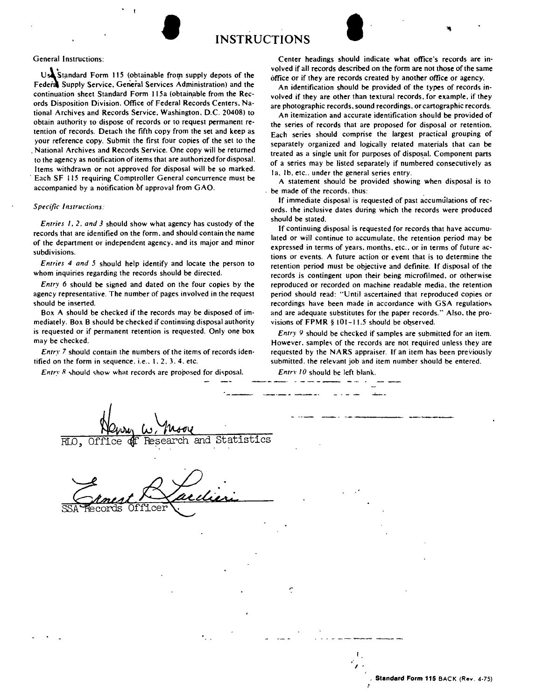



 $Us$  Standard Form 115 (obtainable from supply depots of the Federa Supply Service. General Services Administration) and the continuation sheet Standard Form 115a (obtainable from the Records Disposition Division. Office of Federal Records Centers. National Archives and Records Service. Washington. D.C. 20408) to obtain authority to dispose of records or to request permanent retention of records. Detach the fifth copy from the set and keep as your reference copy. Submit the first four copies of the set to the National Archives and Records Service. One copy will be returned . to the agency as notification of items that are authorized for disposal. Items withdrawn or not approved for disposal will be so marked. . Each SF 115 requiring Comptroller General concurrence must be accompanied by a notification of approval from GAO.

## *Specific Instructions:*

*Entries I.* 2. *and* 3 should show what agency has custody of the records that are identified on the form. and should contain the name of the department or independent agency. and its major and minor subdivisions.

*Entries* 4 *and* 5 should help identify and locate the person to whom inquiries regarding the records should be directed.

*Entry* 6 should be signed and dated on the four copies by the agency representative. The number of pages involved in the request should be inserted.

Box A should be checked if the records may be disposed of immediately. Box B should be checked if continuing disposal authority is requested or if permanent retention is requested. Only one box may be checked.

*Entry* 7 should contain the numbers of the items of records identified on the form in sequence. i.e.. 1.2.3.4. etc.

*Entry* 8 should show what records are proposed for disposal.

Center headings should indicate what office's records are involved if all records described on the form are not those of the same office or if they are records created by another office or agency.

An identification should be provided of the types of records involved if they are other than textural records. for example. if they are photographic records. sound recordings. or cartographic records.

An itemization and accurate identification should be provided of the series of records that are proposed for disposal or retention. Each series should comprise the largest practical grouping of separately organized and logically related materials that can be treated as a single unit for purposes of disposal. Component pans of a series may be listed separately if numbered consecutively as 1a, 1b, etc., under the general series entry.

A statement should be provided showing when disposal is to be made of the records. thus:

If immediate disposal is requested of past accumulations of records. the inclusive dates during which the records were produced should be stated.

If continuing disposal is requested for records that have accumulated or will continue to accumulate. the retention period may be expressed in terms of years. months. etc .. or in terms of future actions or events. A future action or event that is to determine the retention period must be objective and definite. If disposal of the records is contingent upon their being microfilmed. or otherwise reproduced or recorded on machine readable media. the retention period should read: "Until ascertained that reproduced copies or recordings have been made in accordance with GSA regulations and are adequate substitutes for the paper records." Also. the provisions of FPMR § 101-11.5 should be observed.

*Entry* 9 should be checked if samples are submitted for an item. However. samples of the records are not required unless they are requested by the NARS appraiser. If an item has been previously submitted. the relevant job and item number should be entered.

*Entrv 10* should be left blank.

. . . .

. . **. .** . **.** 

| RLO, Office of Research and Statistics       |  |
|----------------------------------------------|--|
| tuen<br>SSA Records<br>Officer               |  |
|                                              |  |
|                                              |  |
| ¢<br>$\mathcal{L}^{\text{max}}$<br>$\bullet$ |  |
| $\bullet$                                    |  |
|                                              |  |

*I*